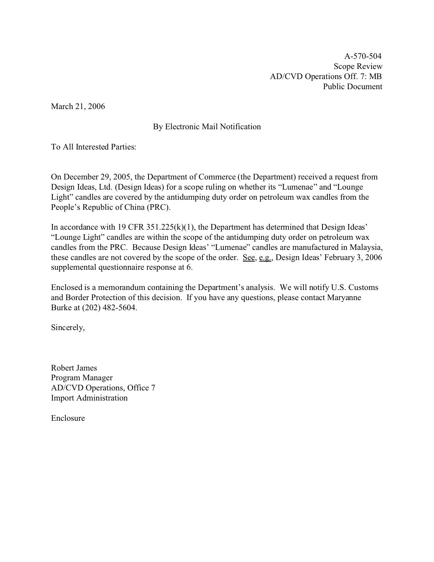A-570-504 Scope Review AD/CVD Operations Off. 7: MB Public Document

March 21, 2006

# By Electronic Mail Notification

To All Interested Parties:

On December 29, 2005, the Department of Commerce (the Department) received a request from Design Ideas, Ltd. (Design Ideas) for a scope ruling on whether its "Lumenae" and "Lounge Light" candles are covered by the antidumping duty order on petroleum wax candles from the People's Republic of China (PRC).

In accordance with 19 CFR 351.225(k)(1), the Department has determined that Design Ideas' "Lounge Light" candles are within the scope of the antidumping duty order on petroleum wax candles from the PRC. Because Design Ideas' "Lumenae" candles are manufactured in Malaysia, these candles are not covered by the scope of the order. See, e.g., Design Ideas' February 3, 2006 supplemental questionnaire response at 6.

Enclosed is a memorandum containing the Department's analysis. We will notify U.S. Customs and Border Protection of this decision. If you have any questions, please contact Maryanne Burke at (202) 482-5604.

Sincerely,

Robert James Program Manager AD/CVD Operations, Office 7 Import Administration

Enclosure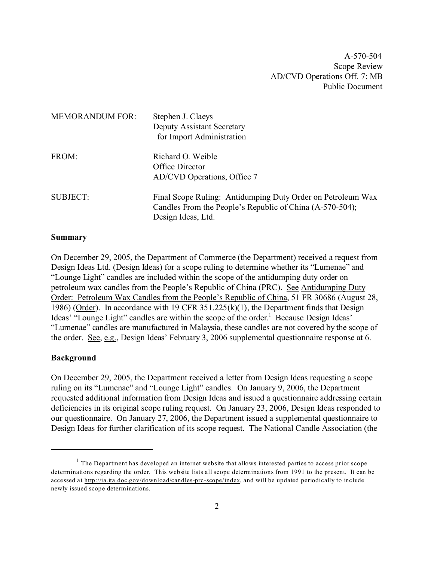A-570-504 Scope Review AD/CVD Operations Off. 7: MB Public Document

| <b>MEMORANDUM FOR:</b> | Stephen J. Claeys<br>Deputy Assistant Secretary<br>for Import Administration                                                                  |
|------------------------|-----------------------------------------------------------------------------------------------------------------------------------------------|
| FROM:                  | Richard O. Weible<br>Office Director<br>AD/CVD Operations, Office 7                                                                           |
| <b>SUBJECT:</b>        | Final Scope Ruling: Antidumping Duty Order on Petroleum Wax<br>Candles From the People's Republic of China (A-570-504);<br>Design Ideas, Ltd. |

#### **Summary**

On December 29, 2005, the Department of Commerce (the Department) received a request from Design Ideas Ltd. (Design Ideas) for a scope ruling to determine whether its "Lumenae" and "Lounge Light" candles are included within the scope of the antidumping duty order on petroleum wax candles from the People's Republic of China (PRC). See Antidumping Duty Order: Petroleum Wax Candles from the People's Republic of China, 51 FR 30686 (August 28, 1986) (Order). In accordance with 19 CFR 351.225(k)(1), the Department finds that Design Ideas' "Lounge Light" candles are within the scope of the order.<sup>1</sup> Because Design Ideas' "Lumenae" candles are manufactured in Malaysia, these candles are not covered by the scope of the order. See, e.g., Design Ideas' February 3, 2006 supplemental questionnaire response at 6.

#### **Background**

On December 29, 2005, the Department received a letter from Design Ideas requesting a scope ruling on its "Lumenae" and "Lounge Light" candles. On January 9, 2006, the Department requested additional information from Design Ideas and issued a questionnaire addressing certain deficiencies in its original scope ruling request. On January 23, 2006, Design Ideas responded to our questionnaire. On January 27, 2006, the Department issued a supplemental questionnaire to Design Ideas for further clarification of its scope request. The National Candle Association (the

 $<sup>1</sup>$  The Department has developed an internet website that allows interested parties to access prior scope</sup> determinations regarding the order. This website lists all scope determinations from 1991 to the present. It can be accessed at [http://ia.ita.doc.gov/download/candles-prc-scope/index,](http://ia.ita.doc.gov/download/candles-prc-scope/,) and will be updated periodically to include newly issued scope determinations.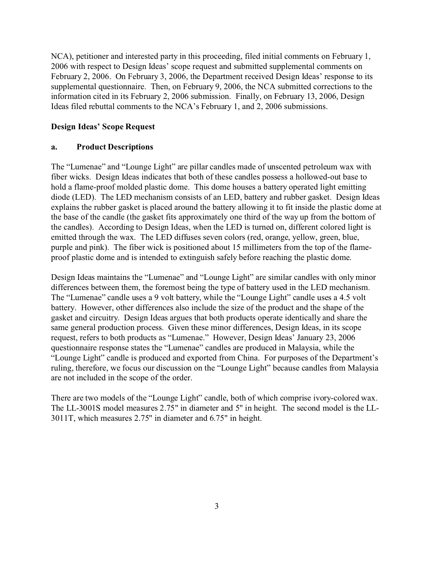NCA), petitioner and interested party in this proceeding, filed initial comments on February 1, 2006 with respect to Design Ideas' scope request and submitted supplemental comments on February 2, 2006. On February 3, 2006, the Department received Design Ideas' response to its supplemental questionnaire. Then, on February 9, 2006, the NCA submitted corrections to the information cited in its February 2, 2006 submission. Finally, on February 13, 2006, Design Ideas filed rebuttal comments to the NCA's February 1, and 2, 2006 submissions.

### **Design Ideas' Scope Request**

### **a. Product Descriptions**

The "Lumenae" and "Lounge Light" are pillar candles made of unscented petroleum wax with fiber wicks. Design Ideas indicates that both of these candles possess a hollowed-out base to hold a flame-proof molded plastic dome. This dome houses a battery operated light emitting diode (LED). The LED mechanism consists of an LED, battery and rubber gasket. Design Ideas explains the rubber gasket is placed around the battery allowing it to fit inside the plastic dome at the base of the candle (the gasket fits approximately one third of the way up from the bottom of the candles). According to Design Ideas, when the LED is turned on, different colored light is emitted through the wax. The LED diffuses seven colors (red, orange, yellow, green, blue, purple and pink). The fiber wick is positioned about 15 millimeters from the top of the flameproof plastic dome and is intended to extinguish safely before reaching the plastic dome.

Design Ideas maintains the "Lumenae" and "Lounge Light" are similar candles with only minor differences between them, the foremost being the type of battery used in the LED mechanism. The "Lumenae" candle uses a 9 volt battery, while the "Lounge Light" candle uses a 4.5 volt battery. However, other differences also include the size of the product and the shape of the gasket and circuitry. Design Ideas argues that both products operate identically and share the same general production process. Given these minor differences, Design Ideas, in its scope request, refers to both products as "Lumenae." However, Design Ideas' January 23, 2006 questionnaire response states the "Lumenae" candles are produced in Malaysia, while the "Lounge Light" candle is produced and exported from China. For purposes of the Department's ruling, therefore, we focus our discussion on the "Lounge Light" because candles from Malaysia are not included in the scope of the order.

There are two models of the "Lounge Light" candle, both of which comprise ivory-colored wax. The LL-3001S model measures 2.75" in diameter and 5" in height. The second model is the LL-3011T, which measures 2.75" in diameter and 6.75" in height.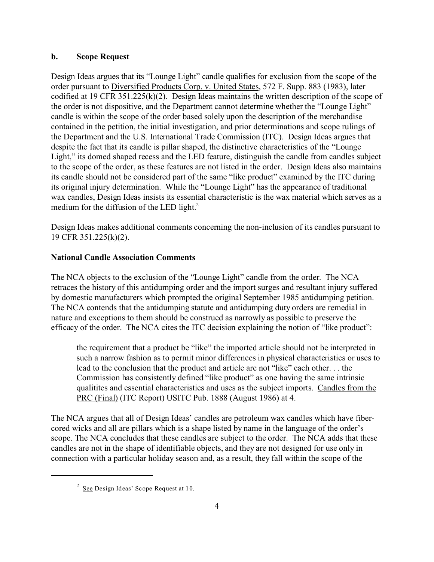### **b. Scope Request**

Design Ideas argues that its "Lounge Light" candle qualifies for exclusion from the scope of the order pursuant to Diversified Products Corp. v. United States, 572 F. Supp. 883 (1983), later codified at 19 CFR 351.225(k)(2). Design Ideas maintains the written description of the scope of the order is not dispositive, and the Department cannot determine whether the "Lounge Light" candle is within the scope of the order based solely upon the description of the merchandise contained in the petition, the initial investigation, and prior determinations and scope rulings of the Department and the U.S. International Trade Commission (ITC). Design Ideas argues that despite the fact that its candle is pillar shaped, the distinctive characteristics of the "Lounge Light," its domed shaped recess and the LED feature, distinguish the candle from candles subject to the scope of the order, as these features are not listed in the order. Design Ideas also maintains its candle should not be considered part of the same "like product" examined by the ITC during its original injury determination. While the "Lounge Light" has the appearance of traditional wax candles, Design Ideas insists its essential characteristic is the wax material which serves as a medium for the diffusion of the LED light.<sup>2</sup>

Design Ideas makes additional comments concerning the non-inclusion of its candles pursuant to 19 CFR 351.225(k)(2).

## **National Candle Association Comments**

The NCA objects to the exclusion of the "Lounge Light" candle from the order. The NCA retraces the history of this antidumping order and the import surges and resultant injury suffered by domestic manufacturers which prompted the original September 1985 antidumping petition. The NCA contends that the antidumping statute and antidumping duty orders are remedial in nature and exceptions to them should be construed as narrowly as possible to preserve the efficacy of the order. The NCA cites the ITC decision explaining the notion of "like product":

the requirement that a product be "like" the imported article should not be interpreted in such a narrow fashion as to permit minor differences in physical characteristics or uses to lead to the conclusion that the product and article are not "like" each other. . . the Commission has consistently defined "like product" as one having the same intrinsic qualitites and essential characteristics and uses as the subject imports. Candles from the PRC (Final) (ITC Report) USITC Pub. 1888 (August 1986) at 4.

The NCA argues that all of Design Ideas' candles are petroleum wax candles which have fibercored wicks and all are pillars which is a shape listed by name in the language of the order's scope. The NCA concludes that these candles are subject to the order. The NCA adds that these candles are not in the shape of identifiable objects, and they are not designed for use only in connection with a particular holiday season and, as a result, they fall within the scope of the

<sup>&</sup>lt;sup>2</sup> See Design Ideas' Scope Request at 10.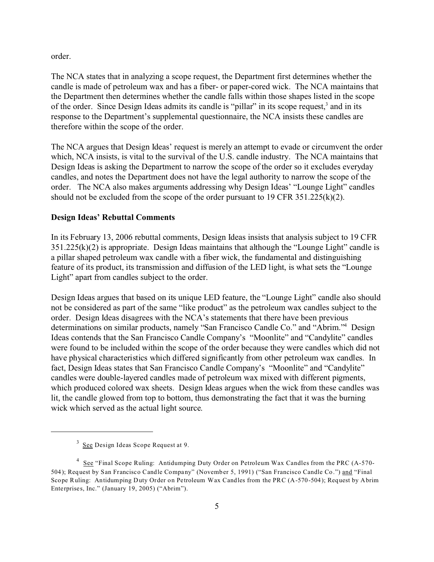order.

The NCA states that in analyzing a scope request, the Department first determines whether the candle is made of petroleum wax and has a fiber- or paper-cored wick. The NCA maintains that the Department then determines whether the candle falls within those shapes listed in the scope of the order. Since Design Ideas admits its candle is "pillar" in its scope request,<sup>3</sup> and in its response to the Department's supplemental questionnaire, the NCA insists these candles are therefore within the scope of the order.

The NCA argues that Design Ideas' request is merely an attempt to evade or circumvent the order which, NCA insists, is vital to the survival of the U.S. candle industry. The NCA maintains that Design Ideas is asking the Department to narrow the scope of the order so it excludes everyday candles, and notes the Department does not have the legal authority to narrow the scope of the order. The NCA also makes arguments addressing why Design Ideas' "Lounge Light" candles should not be excluded from the scope of the order pursuant to 19 CFR 351.225(k)(2).

#### **Design Ideas' Rebuttal Comments**

In its February 13, 2006 rebuttal comments, Design Ideas insists that analysis subject to 19 CFR 351.225(k)(2) is appropriate. Design Ideas maintains that although the "Lounge Light" candle is a pillar shaped petroleum wax candle with a fiber wick, the fundamental and distinguishing feature of its product, its transmission and diffusion of the LED light, is what sets the "Lounge Light" apart from candles subject to the order.

Design Ideas argues that based on its unique LED feature, the "Lounge Light" candle also should not be considered as part of the same "like product" as the petroleum wax candles subject to the order. Design Ideas disagrees with the NCA's statements that there have been previous determinations on similar products, namely "San Francisco Candle Co." and "Abrim."<sup>4</sup> Design Ideas contends that the San Francisco Candle Company's "Moonlite" and "Candylite" candles were found to be included within the scope of the order because they were candles which did not have physical characteristics which differed significantly from other petroleum wax candles. In fact, Design Ideas states that San Francisco Candle Company's "Moonlite" and "Candylite" candles were double-layered candles made of petroleum wax mixed with different pigments, which produced colored wax sheets. Design Ideas argues when the wick from these candles was lit, the candle glowed from top to bottom, thus demonstrating the fact that it was the burning wick which served as the actual light source.

<sup>&</sup>lt;sup>3</sup> See Design Ideas Scope Request at 9.

<sup>&</sup>lt;sup>4</sup> See "Final Scope Ruling: Antidumping Duty Order on Petroleum Wax Candles from the PRC (A-570-504); Request by San Francisco Candle Company" (November 5, 1991) ("San Francisco Candle Co.") and "Final Scope Ruling: Antidumping Duty Order on Petroleum Wax Candles from the PRC (A-570-504); Request by Abrim Enterprises, Inc." (January 19, 2005) ("Abrim").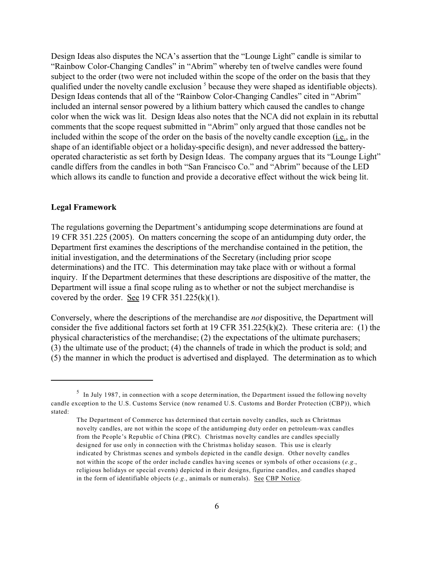Design Ideas also disputes the NCA's assertion that the "Lounge Light" candle is similar to "Rainbow Color-Changing Candles" in "Abrim" whereby ten of twelve candles were found subject to the order (two were not included within the scope of the order on the basis that they qualified under the novelty candle exclusion <sup>5</sup> because they were shaped as identifiable objects). Design Ideas contends that all of the "Rainbow Color-Changing Candles" cited in "Abrim" included an internal sensor powered by a lithium battery which caused the candles to change color when the wick was lit. Design Ideas also notes that the NCA did not explain in its rebuttal comments that the scope request submitted in "Abrim" only argued that those candles not be included within the scope of the order on the basis of the novelty candle exception (*i.e.*, in the shape of an identifiable object or a holiday-specific design), and never addressed the batteryoperated characteristic as set forth by Design Ideas. The company argues that its "Lounge Light" candle differs from the candles in both "San Francisco Co." and "Abrim" because of the LED which allows its candle to function and provide a decorative effect without the wick being lit.

#### **Legal Framework**

The regulations governing the Department's antidumping scope determinations are found at 19 CFR 351.225 (2005). On matters concerning the scope of an antidumping duty order, the Department first examines the descriptions of the merchandise contained in the petition, the initial investigation, and the determinations of the Secretary (including prior scope determinations) and the ITC. This determination may take place with or without a formal inquiry. If the Department determines that these descriptions are dispositive of the matter, the Department will issue a final scope ruling as to whether or not the subject merchandise is covered by the order. See 19 CFR  $351.225(k)(1)$ .

Conversely, where the descriptions of the merchandise are *not* dispositive, the Department will consider the five additional factors set forth at 19 CFR 351.225(k)(2). These criteria are: (1) the physical characteristics of the merchandise; (2) the expectations of the ultimate purchasers; (3) the ultimate use of the product; (4) the channels of trade in which the product is sold; and (5) the manner in which the product is advertised and displayed. The determination as to which

 $<sup>5</sup>$  In July 1987, in connection with a scope determination, the Department issued the following novelty</sup> candle exception to the U.S. Customs Service (now renamed U.S. Customs and Border Protection (CBP)), which stated:

The Department of Commerce has determined that certain novelty candles, such as Christmas novelty candles, are not within the scope of the antidumping duty order on petroleum-wax candles from the People's Republic of China (PRC). Christmas novelty candles are candles specially designed for use only in connection with the Christmas holiday season. This use is clearly indicated by Christmas scenes and symbols depicted in the candle design. Other novelty candles not within the scope of the order include candles having scenes or symbols of other occasions (*e.g.*, religious holidays or special events) depicted in their designs, figurine candles, and candles shaped in the form of identifiable objects (*e.g.*, animals or numerals). See CBP Notice.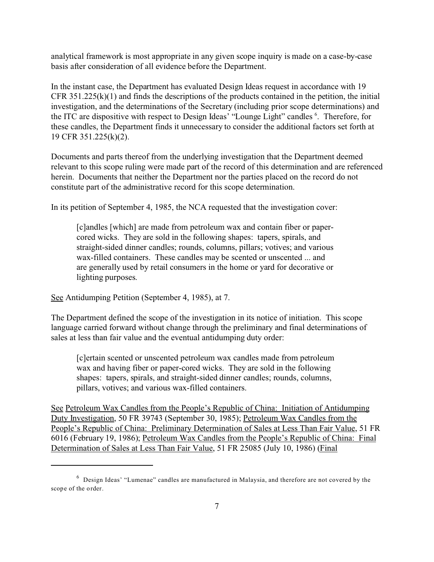analytical framework is most appropriate in any given scope inquiry is made on a case-by-case basis after consideration of all evidence before the Department.

In the instant case, the Department has evaluated Design Ideas request in accordance with 19 CFR 351.225(k)(1) and finds the descriptions of the products contained in the petition, the initial investigation, and the determinations of the Secretary (including prior scope determinations) and the ITC are dispositive with respect to Design Ideas' "Lounge Light" candles <sup>6</sup>. Therefore, for these candles, the Department finds it unnecessary to consider the additional factors set forth at 19 CFR 351.225(k)(2).

Documents and parts thereof from the underlying investigation that the Department deemed relevant to this scope ruling were made part of the record of this determination and are referenced herein. Documents that neither the Department nor the parties placed on the record do not constitute part of the administrative record for this scope determination.

In its petition of September 4, 1985, the NCA requested that the investigation cover:

[c]andles [which] are made from petroleum wax and contain fiber or papercored wicks. They are sold in the following shapes: tapers, spirals, and straight-sided dinner candles; rounds, columns, pillars; votives; and various wax-filled containers. These candles may be scented or unscented ... and are generally used by retail consumers in the home or yard for decorative or lighting purposes.

See Antidumping Petition (September 4, 1985), at 7.

The Department defined the scope of the investigation in its notice of initiation. This scope language carried forward without change through the preliminary and final determinations of sales at less than fair value and the eventual antidumping duty order:

[c]ertain scented or unscented petroleum wax candles made from petroleum wax and having fiber or paper-cored wicks. They are sold in the following shapes: tapers, spirals, and straight-sided dinner candles; rounds, columns, pillars, votives; and various wax-filled containers.

See Petroleum Wax Candles from the People's Republic of China: Initiation of Antidumping Duty Investigation, 50 FR 39743 (September 30, 1985); Petroleum Wax Candles from the People's Republic of China: Preliminary Determination of Sales at Less Than Fair Value, 51 FR 6016 (February 19, 1986); Petroleum Wax Candles from the People's Republic of China: Final Determination of Sales at Less Than Fair Value, 51 FR 25085 (July 10, 1986) (Final

 $^6$  Design Ideas' "Lumenae" candles are manufactured in Malaysia, and therefore are not covered by the scope of the order.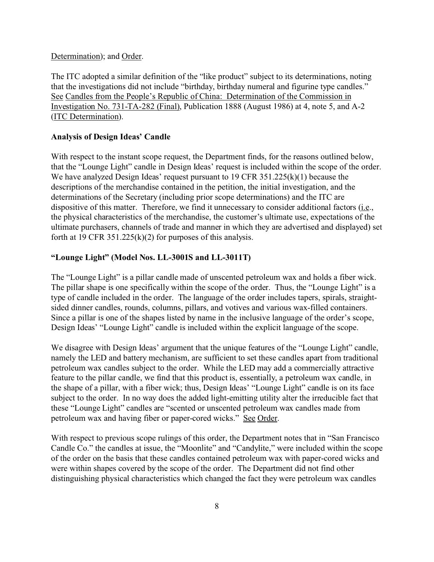#### Determination); and Order.

The ITC adopted a similar definition of the "like product" subject to its determinations, noting that the investigations did not include "birthday, birthday numeral and figurine type candles." See Candles from the People's Republic of China: Determination of the Commission in Investigation No. 731-TA-282 (Final), Publication 1888 (August 1986) at 4, note 5, and A-2 (ITC Determination).

### **Analysis of Design Ideas' Candle**

With respect to the instant scope request, the Department finds, for the reasons outlined below, that the "Lounge Light" candle in Design Ideas' request is included within the scope of the order. We have analyzed Design Ideas' request pursuant to 19 CFR 351.225(k)(1) because the descriptions of the merchandise contained in the petition, the initial investigation, and the determinations of the Secretary (including prior scope determinations) and the ITC are dispositive of this matter. Therefore, we find it unnecessary to consider additional factors  $(i.e.,$ the physical characteristics of the merchandise, the customer's ultimate use, expectations of the ultimate purchasers, channels of trade and manner in which they are advertised and displayed) set forth at 19 CFR  $351.225(k)(2)$  for purposes of this analysis.

# **"Lounge Light" (Model Nos. LL-3001S and LL-3011T)**

The "Lounge Light" is a pillar candle made of unscented petroleum wax and holds a fiber wick. The pillar shape is one specifically within the scope of the order. Thus, the "Lounge Light" is a type of candle included in the order. The language of the order includes tapers, spirals, straightsided dinner candles, rounds, columns, pillars, and votives and various wax-filled containers. Since a pillar is one of the shapes listed by name in the inclusive language of the order's scope, Design Ideas' "Lounge Light" candle is included within the explicit language of the scope.

We disagree with Design Ideas' argument that the unique features of the "Lounge Light" candle, namely the LED and battery mechanism, are sufficient to set these candles apart from traditional petroleum wax candles subject to the order. While the LED may add a commercially attractive feature to the pillar candle, we find that this product is, essentially, a petroleum wax candle, in the shape of a pillar, with a fiber wick; thus, Design Ideas' "Lounge Light" candle is on its face subject to the order. In no way does the added light-emitting utility alter the irreducible fact that these "Lounge Light" candles are "scented or unscented petroleum wax candles made from petroleum wax and having fiber or paper-cored wicks." See Order.

With respect to previous scope rulings of this order, the Department notes that in "San Francisco Candle Co." the candles at issue, the "Moonlite" and "Candylite," were included within the scope of the order on the basis that these candles contained petroleum wax with paper-cored wicks and were within shapes covered by the scope of the order. The Department did not find other distinguishing physical characteristics which changed the fact they were petroleum wax candles